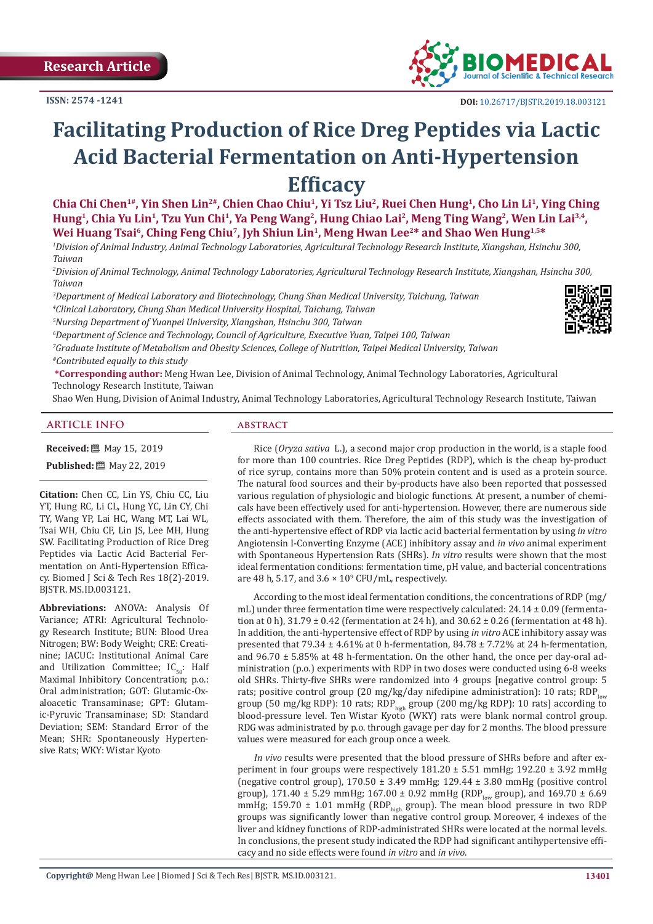

# **Facilitating Production of Rice Dreg Peptides via Lactic Acid Bacterial Fermentation on Anti-Hypertension Efficacy**

Chia Chi Chen<sup>1#</sup>, Yin Shen Lin<sup>2#</sup>, Chien Chao Chiu<sup>1</sup>, Yi Tsz Liu<sup>2</sup>, Ruei Chen Hung<sup>1</sup>, Cho Lin Li<sup>1</sup>, Ying Ching **Hung1, Chia Yu Lin1, Tzu Yun Chi1, Ya Peng Wang2, Hung Chiao Lai2, Meng Ting Wang2, Wen Lin Lai3,4,**  Wei Huang Tsai<sup>6</sup>, Ching Feng Chiu<sup>7</sup>, Jyh Shiun Lin<sup>1</sup>, Meng Hwan Lee<sup>2\*</sup> and Shao Wen Hung<sup>1,5\*</sup>

*1 Division of Animal Industry, Animal Technology Laboratories, Agricultural Technology Research Institute, Xiangshan, Hsinchu 300, Taiwan*

*2 Division of Animal Technology, Animal Technology Laboratories, Agricultural Technology Research Institute, Xiangshan, Hsinchu 300, Taiwan*

*3 Department of Medical Laboratory and Biotechnology, Chung Shan Medical University, Taichung, Taiwan*

*4 Clinical Laboratory, Chung Shan Medical University Hospital, Taichung, Taiwan*

*5 Nursing Department of Yuanpei University, Xiangshan, Hsinchu 300, Taiwan*

*6 Department of Science and Technology, Council of Agriculture, Executive Yuan, Taipei 100, Taiwan*

*7 Graduate Institute of Metabolism and Obesity Sciences, College of Nutrition, Taipei Medical University, Taiwan #Contributed equally to this study*

**\*Corresponding author:** Meng Hwan Lee, Division of Animal Technology, Animal Technology Laboratories, Agricultural Technology Research Institute, Taiwan

Shao Wen Hung, Division of Animal Industry, Animal Technology Laboratories, Agricultural Technology Research Institute, Taiwan

#### **ARTICLE INFO abstract**

**Received:** ■ May 15, 2019

**Published:** 圖 May 22, 2019

**Citation:** Chen CC, Lin YS, Chiu CC, Liu YT, Hung RC, Li CL, Hung YC, Lin CY, Chi TY, Wang YP, Lai HC, Wang MT, Lai WL, Tsai WH, Chiu CF, Lin JS, Lee MH, Hung SW. Facilitating Production of Rice Dreg Peptides via Lactic Acid Bacterial Fermentation on Anti-Hypertension Efficacy. Biomed J Sci & Tech Res 18(2)-2019. BJSTR. MS.ID.003121.

**Abbreviations:** ANOVA: Analysis Of Variance; ATRI: Agricultural Technology Research Institute; BUN: Blood Urea Nitrogen; BW: Body Weight; CRE: Creatinine; IACUC: Institutional Animal Care and Utilization Committee;  $IC_{50}$ : Half Maximal Inhibitory Concentration; p.o.: Oral administration; GOT: Glutamic-Oxaloacetic Transaminase; GPT: Glutamic-Pyruvic Transaminase; SD: Standard Deviation; SEM: Standard Error of the Mean; SHR: Spontaneously Hypertensive Rats; WKY: Wistar Kyoto

Rice (*Oryza sativa* L.), a second major crop production in the world, is a staple food for more than 100 countries. Rice Dreg Peptides (RDP), which is the cheap by-product of rice syrup, contains more than 50% protein content and is used as a protein source. The natural food sources and their by-products have also been reported that possessed various regulation of physiologic and biologic functions. At present, a number of chemicals have been effectively used for anti-hypertension. However, there are numerous side effects associated with them. Therefore, the aim of this study was the investigation of the anti-hypertensive effect of RDP via lactic acid bacterial fermentation by using *in vitro* Angiotensin І-Converting Enzyme (ACE) inhibitory assay and *in vivo* animal experiment with Spontaneous Hypertension Rats (SHRs). *In vitro* results were shown that the most ideal fermentation conditions: fermentation time, pH value, and bacterial concentrations are 48 h, 5.17, and  $3.6 \times 10^9$  CFU/mL, respectively.

According to the most ideal fermentation conditions, the concentrations of RDP (mg/ mL) under three fermentation time were respectively calculated:  $24.14 \pm 0.09$  (fermentation at 0 h),  $31.79 \pm 0.42$  (fermentation at 24 h), and  $30.62 \pm 0.26$  (fermentation at 48 h). In addition, the anti-hypertensive effect of RDP by using *in vitro* ACE inhibitory assay was presented that 79.34  $\pm$  4.61% at 0 h-fermentation, 84.78  $\pm$  7.72% at 24 h-fermentation, and  $96.70 \pm 5.85\%$  at 48 h-fermentation. On the other hand, the once per day-oral administration (p.o.) experiments with RDP in two doses were conducted using 6-8 weeks old SHRs. Thirty-five SHRs were randomized into 4 groups [negative control group: 5 rats; positive control group (20 mg/kg/day nifedipine administration): 10 rats; RDP $_{low}$ group (50 mg/kg RDP): 10 rats; RDP<sub>high</sub> group (200 mg/kg RDP): 10 rats] according to blood-pressure level. Ten Wistar Kyoto (WKY) rats were blank normal control group. RDG was administrated by p.o. through gavage per day for 2 months. The blood pressure values were measured for each group once a week.

*In vivo* results were presented that the blood pressure of SHRs before and after experiment in four groups were respectively  $181.20 \pm 5.51$  mmHg;  $192.20 \pm 3.92$  mmHg (negative control group),  $170.50 \pm 3.49$  mmHg;  $129.44 \pm 3.80$  mmHg (positive control group), 171.40 ± 5.29 mmHg; 167.00 ± 0.92 mmHg (RDP<sub>low</sub> group), and 169.70 ± 6.69 mmHg; 159.70  $\pm$  1.01 mmHg (RDP<sub>high</sub> group). The mean blood pressure in two RDP groups was significantly lower than negative control group. Moreover, 4 indexes of the liver and kidney functions of RDP-administrated SHRs were located at the normal levels. In conclusions, the present study indicated the RDP had significant antihypertensive efficacy and no side effects were found *in vitro* and *in vivo*.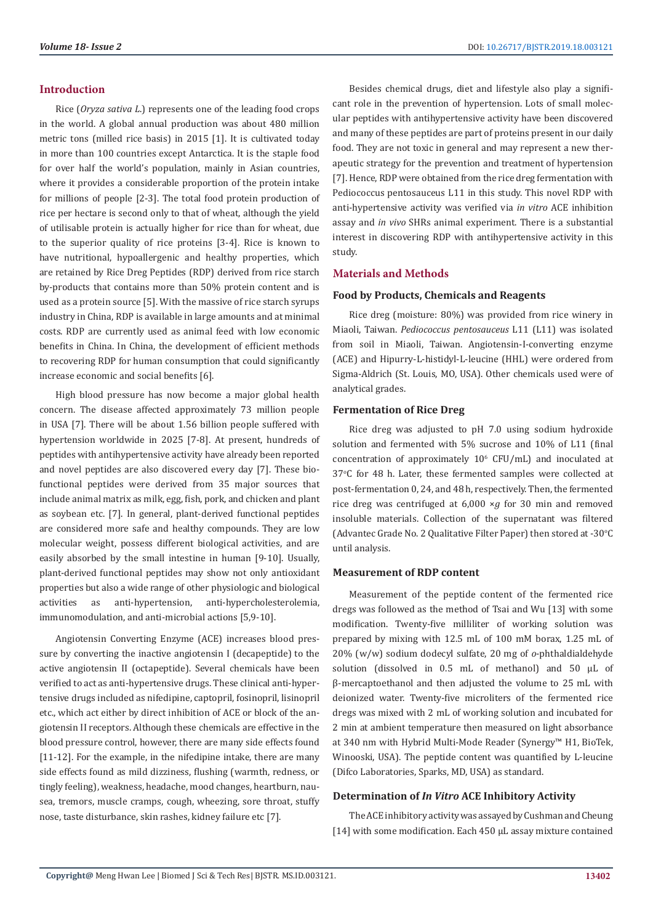#### **Introduction**

Rice (*Oryza sativa L*.) represents one of the leading food crops in the world. A global annual production was about 480 million metric tons (milled rice basis) in 2015 [1]. It is cultivated today in more than 100 countries except Antarctica. It is the staple food for over half the world's population, mainly in Asian countries, where it provides a considerable proportion of the protein intake for millions of people [2-3]. The total food protein production of rice per hectare is second only to that of wheat, although the yield of utilisable protein is actually higher for rice than for wheat, due to the superior quality of rice proteins [3-4]. Rice is known to have nutritional, hypoallergenic and healthy properties, which are retained by Rice Dreg Peptides (RDP) derived from rice starch by-products that contains more than 50% protein content and is used as a protein source [5]. With the massive of rice starch syrups industry in China, RDP is available in large amounts and at minimal costs. RDP are currently used as animal feed with low economic benefits in China. In China, the development of efficient methods to recovering RDP for human consumption that could significantly increase economic and social benefits [6].

High blood pressure has now become a major global health concern. The disease affected approximately 73 million people in USA [7]. There will be about 1.56 billion people suffered with hypertension worldwide in 2025 [7-8]. At present, hundreds of peptides with antihypertensive activity have already been reported and novel peptides are also discovered every day [7]. These biofunctional peptides were derived from 35 major sources that include animal matrix as milk, egg, fish, pork, and chicken and plant as soybean etc. [7]. In general, plant-derived functional peptides are considered more safe and healthy compounds. They are low molecular weight, possess different biological activities, and are easily absorbed by the small intestine in human [9-10]. Usually, plant-derived functional peptides may show not only antioxidant properties but also a wide range of other physiologic and biological activities as anti-hypertension, anti-hypercholesterolemia, immunomodulation, and anti-microbial actions [5,9-10].

Angiotensin Converting Enzyme (ACE) increases blood pressure by converting the inactive angiotensin I (decapeptide) to the active angiotensin II (octapeptide). Several chemicals have been verified to act as anti-hypertensive drugs. These clinical anti-hypertensive drugs included as nifedipine, captopril, fosinopril, lisinopril etc., which act either by direct inhibition of ACE or block of the angiotensin II receptors. Although these chemicals are effective in the blood pressure control, however, there are many side effects found [11-12]. For the example, in the nifedipine intake, there are many side effects found as mild dizziness, flushing (warmth, redness, or tingly feeling), weakness, headache, mood changes, heartburn, nausea, tremors, muscle cramps, cough, wheezing, sore throat, stuffy nose, taste disturbance, skin rashes, kidney failure etc [7].

Besides chemical drugs, diet and lifestyle also play a significant role in the prevention of hypertension. Lots of small molecular peptides with antihypertensive activity have been discovered and many of these peptides are part of proteins present in our daily food. They are not toxic in general and may represent a new therapeutic strategy for the prevention and treatment of hypertension [7]. Hence, RDP were obtained from the rice dreg fermentation with Pediococcus pentosauceus L11 in this study. This novel RDP with anti-hypertensive activity was verified via *in vitro* ACE inhibition assay and *in vivo* SHRs animal experiment. There is a substantial interest in discovering RDP with antihypertensive activity in this study.

#### **Materials and Methods**

#### **Food by Products, Chemicals and Reagents**

Rice dreg (moisture: 80%) was provided from rice winery in Miaoli, Taiwan. *Pediococcus pentosauceus* L11 (L11) was isolated from soil in Miaoli, Taiwan. Angiotensin-I-converting enzyme (ACE) and Hipurry-L-histidyl-L-leucine (HHL) were ordered from Sigma-Aldrich (St. Louis, MO, USA). Other chemicals used were of analytical grades.

#### **Fermentation of Rice Dreg**

Rice dreg was adjusted to pH 7.0 using sodium hydroxide solution and fermented with 5% sucrose and 10% of L11 (final  $concentration of approximately 10<sup>6</sup> CFU/mL$  and inoculated at  $37^{\circ}$ C for 48 h. Later, these fermented samples were collected at post-fermentation 0, 24, and 48 h, respectively. Then, the fermented rice dreg was centrifuged at 6,000 ×*g* for 30 min and removed insoluble materials. Collection of the supernatant was filtered (Advantec Grade No. 2 Qualitative Filter Paper) then stored at  $-30^{\circ}$ C until analysis.

#### **Measurement of RDP content**

Measurement of the peptide content of the fermented rice dregs was followed as the method of Tsai and Wu [13] with some modification. Twenty-five milliliter of working solution was prepared by mixing with 12.5 mL of 100 mM borax, 1.25 mL of 20% (w/w) sodium dodecyl sulfate, 20 mg of *o*-phthaldialdehyde solution (dissolved in 0.5 mL of methanol) and 50 uL of β-mercaptoethanol and then adjusted the volume to 25 mL with deionized water. Twenty-five microliters of the fermented rice dregs was mixed with 2 mL of working solution and incubated for 2 min at ambient temperature then measured on light absorbance at 340 nm with Hybrid Multi-Mode Reader (Synergy™ H1, BioTek, Winooski, USA). The peptide content was quantified by L-leucine (Difco Laboratories, Sparks, MD, USA) as standard.

#### **Determination of** *In Vitro* **ACE Inhibitory Activity**

The ACE inhibitory activity was assayed by Cushman and Cheung [14] with some modification. Each 450 µL assay mixture contained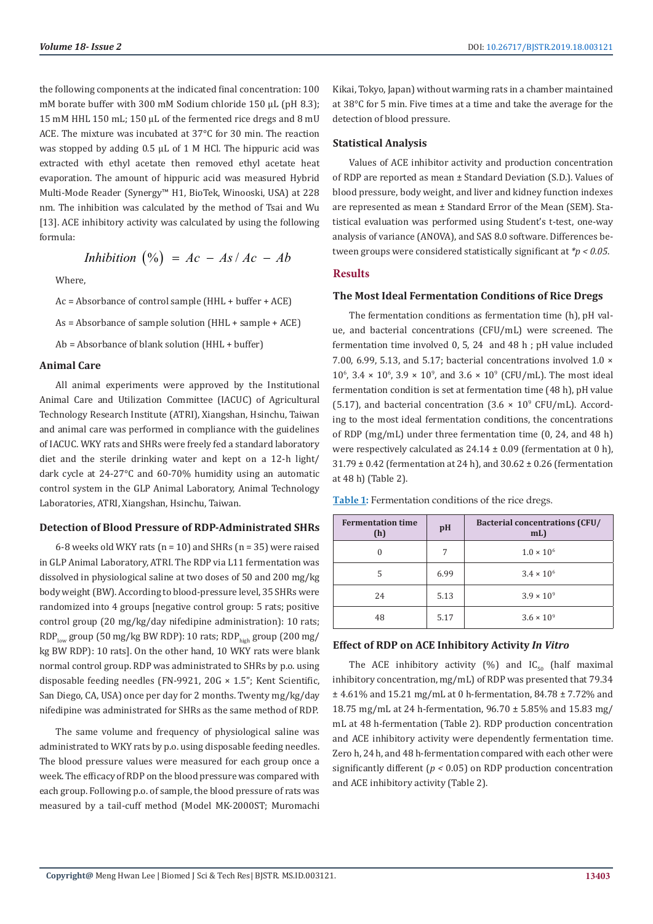the following components at the indicated final concentration: 100 mM borate buffer with 300 mM Sodium chloride 150 µL (pH 8.3); 15 mM HHL 150 mL; 150 µL of the fermented rice dregs and 8 mU ACE. The mixture was incubated at 37°C for 30 min. The reaction was stopped by adding 0.5 µL of 1 M HCl. The hippuric acid was extracted with ethyl acetate then removed ethyl acetate heat evaporation. The amount of hippuric acid was measured Hybrid Multi-Mode Reader (Synergy™ H1, BioTek, Winooski, USA) at 228 nm. The inhibition was calculated by the method of Tsai and Wu [13]. ACE inhibitory activity was calculated by using the following formula:

$$
Inhibition (%) = Ac - As/Ac - Ab
$$

Where,

Ac = Absorbance of control sample (HHL + buffer + ACE)

As = Absorbance of sample solution (HHL + sample + ACE)

Ab = Absorbance of blank solution (HHL + buffer)

#### **Animal Care**

All animal experiments were approved by the Institutional Animal Care and Utilization Committee (IACUC) of Agricultural Technology Research Institute (ATRI), Xiangshan, Hsinchu, Taiwan and animal care was performed in compliance with the guidelines of IACUC. WKY rats and SHRs were freely fed a standard laboratory diet and the sterile drinking water and kept on a 12-h light/ dark cycle at 24-27°C and 60-70% humidity using an automatic control system in the GLP Animal Laboratory, Animal Technology Laboratories, ATRI, Xiangshan, Hsinchu, Taiwan.

#### **Detection of Blood Pressure of RDP-Administrated SHRs**

6-8 weeks old WKY rats ( $n = 10$ ) and SHRs ( $n = 35$ ) were raised in GLP Animal Laboratory, ATRI. The RDP via L11 fermentation was dissolved in physiological saline at two doses of 50 and 200 mg/kg body weight (BW). According to blood-pressure level, 35 SHRs were randomized into 4 groups [negative control group: 5 rats; positive control group (20 mg/kg/day nifedipine administration): 10 rats;  $RDP_{\text{low}}$  group (50 mg/kg BW RDP): 10 rats;  $RDP_{\text{high}}$  group (200 mg/ kg BW RDP): 10 rats]. On the other hand, 10 WKY rats were blank normal control group. RDP was administrated to SHRs by p.o. using disposable feeding needles (FN-9921, 20G × 1.5"; Kent Scientific, San Diego, CA, USA) once per day for 2 months. Twenty mg/kg/day nifedipine was administrated for SHRs as the same method of RDP.

The same volume and frequency of physiological saline was administrated to WKY rats by p.o. using disposable feeding needles. The blood pressure values were measured for each group once a week. The efficacy of RDP on the blood pressure was compared with each group. Following p.o. of sample, the blood pressure of rats was measured by a tail-cuff method (Model MK-2000ST; Muromachi Kikai, Tokyo, Japan) without warming rats in a chamber maintained at 38°C for 5 min. Five times at a time and take the average for the detection of blood pressure.

#### **Statistical Analysis**

Values of ACE inhibitor activity and production concentration of RDP are reported as mean ± Standard Deviation (S.D.). Values of blood pressure, body weight, and liver and kidney function indexes are represented as mean ± Standard Error of the Mean (SEM). Statistical evaluation was performed using Student's t-test, one-way analysis of variance (ANOVA), and SAS 8.0 software. Differences between groups were considered statistically significant at *\*p < 0.05*.

#### **Results**

#### **The Most Ideal Fermentation Conditions of Rice Dregs**

The fermentation conditions as fermentation time (h), pH value, and bacterial concentrations (CFU/mL) were screened. The fermentation time involved 0, 5, 24 and 48 h ; pH value included 7.00, 6.99, 5.13, and 5.17; bacterial concentrations involved 1.0 ×  $10^{\circ}$ , 3.4  $\times$  10<sup>6</sup>, 3.9  $\times$  10<sup>9</sup>, and 3.6  $\times$  10<sup>9</sup> (CFU/mL). The most ideal fermentation condition is set at fermentation time (48 h), pH value  $(5.17)$ , and bacterial concentration  $(3.6 \times 10^{9} \text{ CFU/mL})$ . According to the most ideal fermentation conditions, the concentrations of RDP (mg/mL) under three fermentation time (0, 24, and 48 h) were respectively calculated as  $24.14 \pm 0.09$  (fermentation at 0 h), 31.79 ± 0.42 (fermentation at 24 h), and 30.62 ± 0.26 (fermentation at 48 h) (Table 2).

| <b>Fermentation time</b><br>(h) | pH   | <b>Bacterial concentrations (CFU/</b><br>mL) |  |
|---------------------------------|------|----------------------------------------------|--|
| 0                               | 7    | $1.0 \times 10^{6}$                          |  |
| 5                               | 6.99 | $3.4 \times 10^{6}$                          |  |
| 24                              | 5.13 | $3.9 \times 10^{9}$                          |  |
| 48                              | 5.17 | $3.6 \times 10^{9}$                          |  |

**Table 1:** Fermentation conditions of the rice dregs.

### **Effect of RDP on ACE Inhibitory Activity** *In Vitro*

The ACE inhibitory activity (%) and  $IC_{50}$  (half maximal inhibitory concentration, mg/mL) of RDP was presented that 79.34 ± 4.61% and 15.21 mg/mL at 0 h-fermentation, 84.78 ± 7.72% and 18.75 mg/mL at 24 h-fermentation, 96.70 ± 5.85% and 15.83 mg/ mL at 48 h-fermentation (Table 2). RDP production concentration and ACE inhibitory activity were dependently fermentation time. Zero h, 24 h, and 48 h-fermentation compared with each other were significantly different (*p <* 0.05) on RDP production concentration and ACE inhibitory activity (Table 2).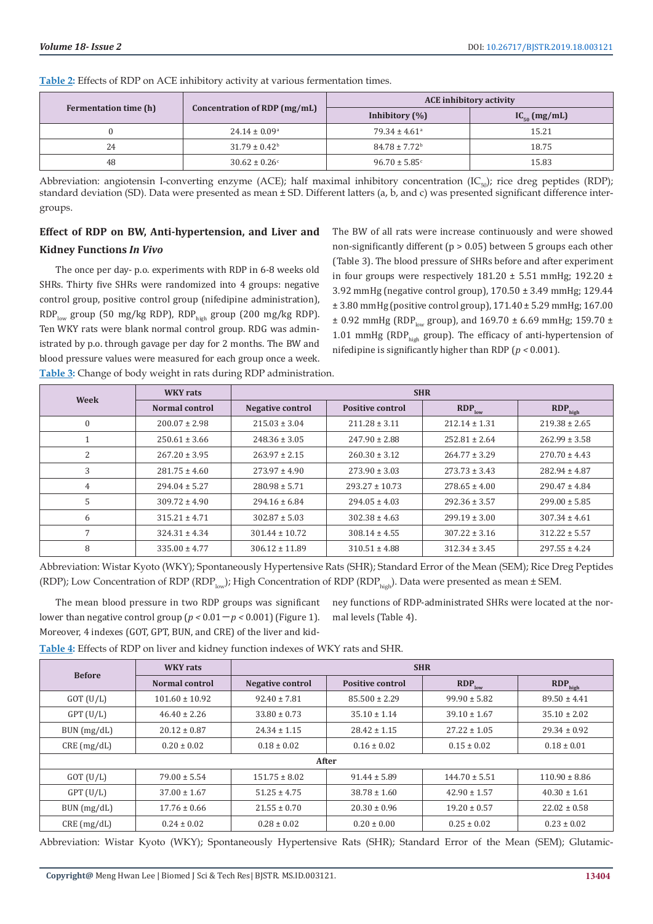| Fermentation time (h) | Concentration of RDP (mg/mL) | <b>ACE</b> inhibitory activity |                   |  |
|-----------------------|------------------------------|--------------------------------|-------------------|--|
|                       |                              | Inhibitory $(\%)$              | $IC_{50}$ (mg/mL) |  |
|                       | $24.14 \pm 0.09^{\circ}$     | $79.34 \pm 4.61$ <sup>a</sup>  | 15.21             |  |
| 24                    | $31.79 \pm 0.42^{\circ}$     | $84.78 \pm 7.72$ <sup>b</sup>  | 18.75             |  |
| 48                    | $30.62 \pm 0.26$             | $96.70 \pm 5.85$ <sup>c</sup>  | 15.83             |  |

**Table 2:** Effects of RDP on ACE inhibitory activity at various fermentation times.

Abbreviation: angiotensin I-converting enzyme (ACE); half maximal inhibitory concentration (IC $_{50}$ ); rice dreg peptides (RDP); standard deviation (SD). Data were presented as mean ± SD. Different latters (a, b, and c) was presented significant difference intergroups.

## **Effect of RDP on BW, Anti-hypertension, and Liver and Kidney Functions** *In Vivo*

The once per day- p.o. experiments with RDP in 6-8 weeks old SHRs. Thirty five SHRs were randomized into 4 groups: negative control group, positive control group (nifedipine administration), RDP<sub>low</sub> group (50 mg/kg RDP), RDP<sub>high</sub> group (200 mg/kg RDP). Ten WKY rats were blank normal control group. RDG was administrated by p.o. through gavage per day for 2 months. The BW and blood pressure values were measured for each group once a week. **Table 3:** Change of body weight in rats during RDP administration.

The BW of all rats were increase continuously and were showed non-significantly different ( $p > 0.05$ ) between 5 groups each other (Table 3). The blood pressure of SHRs before and after experiment in four groups were respectively  $181.20 \pm 5.51$  mmHg;  $192.20 \pm 1.5$ 3.92 mmHg (negative control group), 170.50 ± 3.49 mmHg; 129.44 ± 3.80 mmHg (positive control group), 171.40 ± 5.29 mmHg; 167.00  $\pm$  0.92 mmHg (RDP<sub>low</sub> group), and 169.70  $\pm$  6.69 mmHg; 159.70  $\pm$ 1.01 mmHg (RDP<sub>high</sub> group). The efficacy of anti-hypertension of nifedipine is significantly higher than RDP (*p <* 0.001).

| Week         | <b>WKY</b> rats       | <b>SHR</b>              |                         |                   |                     |
|--------------|-----------------------|-------------------------|-------------------------|-------------------|---------------------|
|              | <b>Normal control</b> | <b>Negative control</b> | <b>Positive control</b> | $RDP_{low}$       | RDP <sub>high</sub> |
| $\mathbf{0}$ | $200.07 \pm 2.98$     | $215.03 \pm 3.04$       | $211.28 \pm 3.11$       | $212.14 \pm 1.31$ | $219.38 \pm 2.65$   |
| л.           | $250.61 \pm 3.66$     | $248.36 \pm 3.05$       | $247.90 \pm 2.88$       | $252.81 \pm 2.64$ | $262.99 \pm 3.58$   |
| 2            | $267.20 \pm 3.95$     | $263.97 \pm 2.15$       | $260.30 \pm 3.12$       | $264.77 \pm 3.29$ | $270.70 \pm 4.43$   |
| 3            | $281.75 \pm 4.60$     | $273.97 \pm 4.90$       | $273.90 \pm 3.03$       | $273.73 \pm 3.43$ | $282.94 \pm 4.87$   |
| 4            | $294.04 \pm 5.27$     | $280.98 \pm 5.71$       | $293.27 \pm 10.73$      | $278.65 \pm 4.00$ | $290.47 \pm 4.84$   |
| 5            | $309.72 \pm 4.90$     | $294.16 \pm 6.84$       | $294.05 \pm 4.03$       | $292.36 \pm 3.57$ | $299.00 \pm 5.85$   |
| 6            | $315.21 \pm 4.71$     | $302.87 \pm 5.03$       | $302.38 \pm 4.63$       | $299.19 \pm 3.00$ | $307.34 \pm 4.61$   |
| 7            | $324.31 \pm 4.34$     | $301.44 \pm 10.72$      | $308.14 \pm 4.55$       | $307.22 \pm 3.16$ | $312.22 \pm 5.57$   |
| 8            | $335.00 \pm 4.77$     | $306.12 \pm 11.89$      | $310.51 \pm 4.88$       | $312.34 \pm 3.45$ | $297.55 \pm 4.24$   |

Abbreviation: Wistar Kyoto (WKY); Spontaneously Hypertensive Rats (SHR); Standard Error of the Mean (SEM); Rice Dreg Peptides (RDP); Low Concentration of RDP (RDP<sub>low</sub>); High Concentration of RDP (RDP<sub>high</sub>). Data were presented as mean  $\pm$  SEM.

The mean blood pressure in two RDP groups was significant lower than negative control group  $(p < 0.01 - p < 0.001)$  (Figure 1). Moreover, 4 indexes (GOT, GPT, BUN, and CRE) of the liver and kid-

ney functions of RDP-administrated SHRs were located at the normal levels (Table 4).

**Table 4:** Effects of RDP on liver and kidney function indexes of WKY rats and SHR.

| <b>Before</b> | <b>WKY</b> rats    | <b>SHR</b>              |                         |                   |                     |  |
|---------------|--------------------|-------------------------|-------------------------|-------------------|---------------------|--|
|               | Normal control     | <b>Negative control</b> | <b>Positive control</b> | $RDP_{low}$       | RDP <sub>high</sub> |  |
| $GOT$ (U/L)   | $101.60 \pm 10.92$ | $92.40 \pm 7.81$        | $85.500 \pm 2.29$       | $99.90 \pm 5.82$  | $89.50 \pm 4.41$    |  |
| $GPT$ $(U/L)$ | $46.40 \pm 2.26$   | $33.80 \pm 0.73$        | $35.10 \pm 1.14$        | $39.10 \pm 1.67$  | $35.10 \pm 2.02$    |  |
| BUN (mg/dL)   | $20.12 \pm 0.87$   | $24.34 \pm 1.15$        | $28.42 \pm 1.15$        | $27.22 \pm 1.05$  | $29.34 \pm 0.92$    |  |
| CRE(mg/dL)    | $0.20 \pm 0.02$    | $0.18 \pm 0.02$         | $0.16 \pm 0.02$         | $0.15 \pm 0.02$   | $0.18 \pm 0.01$     |  |
| After         |                    |                         |                         |                   |                     |  |
| $GOT$ $(U/L)$ | $79.00 \pm 5.54$   | $151.75 \pm 8.02$       | $91.44 \pm 5.89$        | $144.70 \pm 5.51$ | $110.90 \pm 8.86$   |  |
| $GPT$ $(U/L)$ | $37.00 \pm 1.67$   | $51.25 \pm 4.75$        | $38.78 \pm 1.60$        | $42.90 \pm 1.57$  | $40.30 \pm 1.61$    |  |
| BUN (mg/dL)   | $17.76 \pm 0.66$   | $21.55 \pm 0.70$        | $20.30 \pm 0.96$        | $19.20 \pm 0.57$  | $22.02 \pm 0.58$    |  |
| CRE(mg/dL)    | $0.24 \pm 0.02$    | $0.28 \pm 0.02$         | $0.20 \pm 0.00$         | $0.25 \pm 0.02$   | $0.23 \pm 0.02$     |  |

Abbreviation: Wistar Kyoto (WKY); Spontaneously Hypertensive Rats (SHR); Standard Error of the Mean (SEM); Glutamic-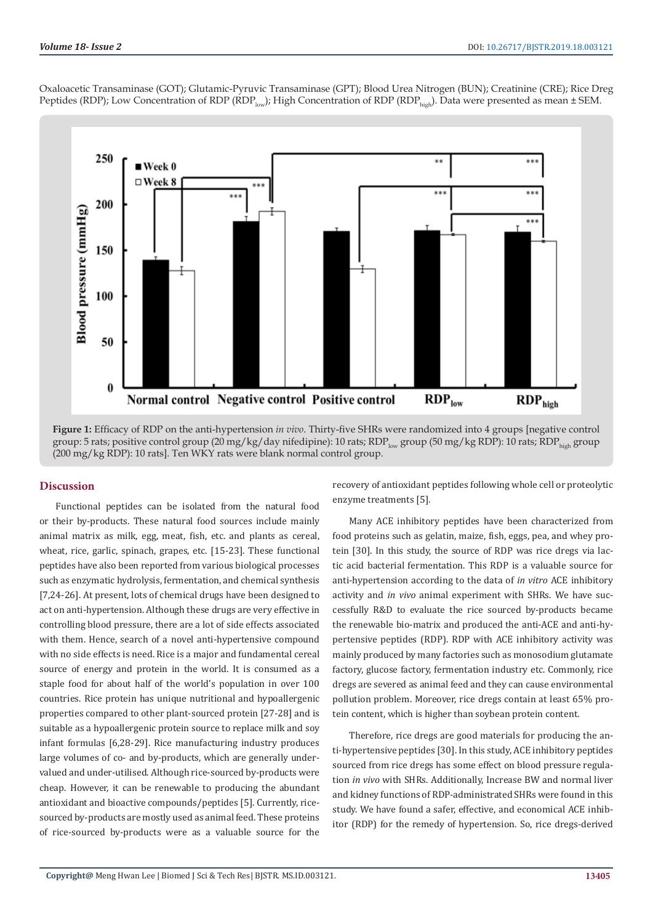

Oxaloacetic Transaminase (GOT); Glutamic-Pyruvic Transaminase (GPT); Blood Urea Nitrogen (BUN); Creatinine (CRE); Rice Dreg Peptides (RDP); Low Concentration of RDP (RDP<sub>low</sub>); High Concentration of RDP (RDP<sub>high</sub>). Data were presented as mean ± SEM.

**Figure 1:** Efficacy of RDP on the anti-hypertension *in vivo*. Thirty-five SHRs were randomized into 4 groups [negative control group: 5 rats; positive control group (20 mg/kg/day nifedipine): 10 rats; RDP<sub>low</sub> group (50 mg/kg RDP): 10 rats; RDP<sub>high</sub> group (200 mg/kg RDP): 10 rats]. Ten WKY rats were blank normal control group.

### **Discussion**

Functional peptides can be isolated from the natural food or their by-products. These natural food sources include mainly animal matrix as milk, egg, meat, fish, etc. and plants as cereal, wheat, rice, garlic, spinach, grapes, etc. [15-23]. These functional peptides have also been reported from various biological processes such as enzymatic hydrolysis, fermentation, and chemical synthesis [7,24-26]. At present, lots of chemical drugs have been designed to act on anti-hypertension. Although these drugs are very effective in controlling blood pressure, there are a lot of side effects associated with them. Hence, search of a novel anti-hypertensive compound with no side effects is need. Rice is a major and fundamental cereal source of energy and protein in the world. It is consumed as a staple food for about half of the world's population in over 100 countries. Rice protein has unique nutritional and hypoallergenic properties compared to other plant-sourced protein [27-28] and is suitable as a hypoallergenic protein source to replace milk and soy infant formulas [6,28-29]. Rice manufacturing industry produces large volumes of co- and by-products, which are generally undervalued and under-utilised. Although rice-sourced by-products were cheap. However, it can be renewable to producing the abundant antioxidant and bioactive compounds/peptides [5]. Currently, ricesourced by-products are mostly used as animal feed. These proteins of rice-sourced by-products were as a valuable source for the

recovery of antioxidant peptides following whole cell or proteolytic enzyme treatments [5].

Many ACE inhibitory peptides have been characterized from food proteins such as gelatin, maize, fish, eggs, pea, and whey protein [30]. In this study, the source of RDP was rice dregs via lactic acid bacterial fermentation. This RDP is a valuable source for anti-hypertension according to the data of *in vitro* ACE inhibitory activity and *in vivo* animal experiment with SHRs. We have successfully R&D to evaluate the rice sourced by-products became the renewable bio-matrix and produced the anti-ACE and anti-hypertensive peptides (RDP). RDP with ACE inhibitory activity was mainly produced by many factories such as monosodium glutamate factory, glucose factory, fermentation industry etc. Commonly, rice dregs are severed as animal feed and they can cause environmental pollution problem. Moreover, rice dregs contain at least 65% protein content, which is higher than soybean protein content.

Therefore, rice dregs are good materials for producing the anti-hypertensive peptides [30]. In this study, ACE inhibitory peptides sourced from rice dregs has some effect on blood pressure regulation *in vivo* with SHRs. Additionally, Increase BW and normal liver and kidney functions of RDP-administrated SHRs were found in this study. We have found a safer, effective, and economical ACE inhibitor (RDP) for the remedy of hypertension. So, rice dregs-derived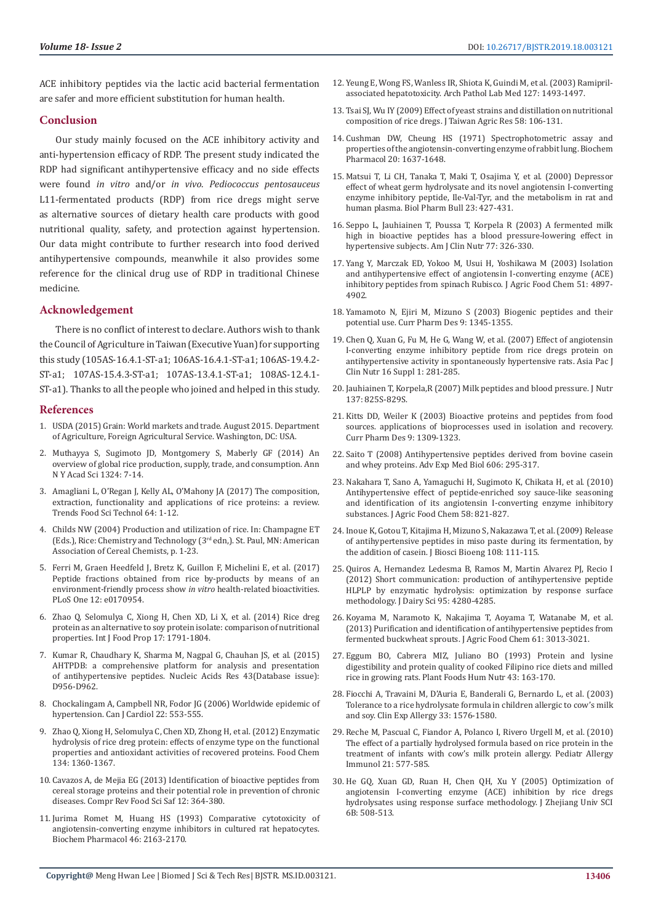ACE inhibitory peptides via the lactic acid bacterial fermentation are safer and more efficient substitution for human health.

#### **Conclusion**

Our study mainly focused on the ACE inhibitory activity and anti-hypertension efficacy of RDP. The present study indicated the RDP had significant antihypertensive efficacy and no side effects were found *in vitro* and/or *in vivo*. *Pediococcus pentosauceus* L11-fermentated products (RDP) from rice dregs might serve as alternative sources of dietary health care products with good nutritional quality, safety, and protection against hypertension. Our data might contribute to further research into food derived antihypertensive compounds, meanwhile it also provides some reference for the clinical drug use of RDP in traditional Chinese medicine.

#### **Acknowledgement**

There is no conflict of interest to declare. Authors wish to thank the Council of Agriculture in Taiwan (Executive Yuan) for supporting this study (105AS-16.4.1-ST-a1; 106AS-16.4.1-ST-a1; 106AS-19.4.2- ST-a1; 107AS-15.4.3-ST-a1; 107AS-13.4.1-ST-a1; 108AS-12.4.1- ST-a1). Thanks to all the people who joined and helped in this study.

#### **References**

- 1. USDA (2015) Grain: World markets and trade. August 2015. Department of Agriculture, Foreign Agricultural Service. Washington, DC: USA.
- 2. [Muthayya S, Sugimoto JD, Montgomery S, Maberly GF \(2014\) An](https://www.ncbi.nlm.nih.gov/pubmed/25224455)  [overview of global rice production, supply, trade, and consumption. Ann](https://www.ncbi.nlm.nih.gov/pubmed/25224455)  [N Y Acad Sci 1324: 7-14.](https://www.ncbi.nlm.nih.gov/pubmed/25224455)
- 3. [Amagliani L, O'Regan J, Kelly AL, O'Mahony JA \(2017\) The composition,](https://www.researchgate.net/publication/314101435_The_composition_extraction_functionality_and_applications_of_rice_proteins_A_review)  [extraction, functionality and applications of rice proteins: a review.](https://www.researchgate.net/publication/314101435_The_composition_extraction_functionality_and_applications_of_rice_proteins_A_review)  [Trends Food Sci Technol 64: 1-12.](https://www.researchgate.net/publication/314101435_The_composition_extraction_functionality_and_applications_of_rice_proteins_A_review)
- 4. Childs NW (2004) Production and utilization of rice. In: Champagne ET (Eds.), Rice: Chemistry and Technology (3rd edn,). St. Paul, MN: American Association of Cereal Chemists, p. 1-23.
- 5. [Ferri M, Graen Heedfeld J, Bretz K, Guillon F, Michelini E, et al. \(2017\)](https://journals.plos.org/plosone/article?id=10.1371/journal.pone.0170954)  [Peptide fractions obtained from rice by-products by means of an](https://journals.plos.org/plosone/article?id=10.1371/journal.pone.0170954)  [environment-friendly process show](https://journals.plos.org/plosone/article?id=10.1371/journal.pone.0170954) *in vitro* health-related bioactivities. [PLoS One 12: e0170954.](https://journals.plos.org/plosone/article?id=10.1371/journal.pone.0170954)
- 6. [Zhao Q, Selomulya C, Xiong H, Chen XD, Li X, et al. \(2014\) Rice dreg](https://www.tandfonline.com/doi/abs/10.1080/10942912.2012.732167)  [protein as an alternative to soy protein isolate: comparison of nutritional](https://www.tandfonline.com/doi/abs/10.1080/10942912.2012.732167)  [properties. Int J Food Prop 17: 1791-1804.](https://www.tandfonline.com/doi/abs/10.1080/10942912.2012.732167)
- 7. [Kumar R, Chaudhary K, Sharma M, Nagpal G, Chauhan JS, et al. \(2015\)](https://www.ncbi.nlm.nih.gov/pubmed/25392419)  [AHTPDB: a comprehensive platform for analysis and presentation](https://www.ncbi.nlm.nih.gov/pubmed/25392419)  [of antihypertensive peptides. Nucleic Acids Res 43\(Database issue\):](https://www.ncbi.nlm.nih.gov/pubmed/25392419)  [D956-D962.](https://www.ncbi.nlm.nih.gov/pubmed/25392419)
- 8. [Chockalingam A, Campbell NR, Fodor JG \(2006\) Worldwide epidemic of](https://www.ncbi.nlm.nih.gov/pubmed/16755308)  [hypertension. Can J Cardiol 22: 553-555.](https://www.ncbi.nlm.nih.gov/pubmed/16755308)
- 9. [Zhao Q, Xiong H, Selomulya C, Chen XD, Zhong H, et al. \(2012\) Enzymatic](https://www.ncbi.nlm.nih.gov/pubmed/25005954)  [hydrolysis of rice dreg protein: effects of enzyme type on the functional](https://www.ncbi.nlm.nih.gov/pubmed/25005954)  [properties and antioxidant activities of recovered proteins. Food Chem](https://www.ncbi.nlm.nih.gov/pubmed/25005954)  [134: 1360-1367.](https://www.ncbi.nlm.nih.gov/pubmed/25005954)
- 10. [Cavazos A, de Mejia EG \(2013\) Identification of bioactive peptides from](https://onlinelibrary.wiley.com/doi/full/10.1111/1541-4337.12017)  [cereal storage proteins and their potential role in prevention of chronic](https://onlinelibrary.wiley.com/doi/full/10.1111/1541-4337.12017)  [diseases. Compr Rev Food Sci Saf 12: 364-380.](https://onlinelibrary.wiley.com/doi/full/10.1111/1541-4337.12017)
- 11. [Jurima Romet M, Huang HS \(1993\) Comparative cytotoxicity of](https://www.ncbi.nlm.nih.gov/pubmed/8274149)  [angiotensin-converting enzyme inhibitors in cultured rat hepatocytes.](https://www.ncbi.nlm.nih.gov/pubmed/8274149)  [Biochem Pharmacol 46: 2163-2170.](https://www.ncbi.nlm.nih.gov/pubmed/8274149)
- 12. [Yeung E, Wong FS, Wanless IR, Shiota K, Guindi M, et al. \(2003\) Ramipril](https://www.ncbi.nlm.nih.gov/pubmed/14567716)[associated hepatotoxicity. Arch Pathol Lab Med 127: 1493-1497.](https://www.ncbi.nlm.nih.gov/pubmed/14567716)
- 13. Tsai SJ, Wu IY (2009) Effect of yeast strains and distillation on nutritional composition of rice dregs. J Taiwan Agric Res 58: 106-131.
- 14. [Cushman DW, Cheung HS \(1971\) Spectrophotometric assay and](https://www.ncbi.nlm.nih.gov/pubmed/4355305) [properties of the angiotensin-converting enzyme of rabbit lung. Biochem](https://www.ncbi.nlm.nih.gov/pubmed/4355305) [Pharmacol 20: 1637-1648.](https://www.ncbi.nlm.nih.gov/pubmed/4355305)
- 15. [Matsui T, Li CH, Tanaka T, Maki T, Osajima Y, et al. \(2000\) Depressor](https://www.ncbi.nlm.nih.gov/pubmed/10784421) [effect of wheat germ hydrolysate and its novel angiotensin I-converting](https://www.ncbi.nlm.nih.gov/pubmed/10784421) [enzyme inhibitory peptide, Ile-Val-Tyr, and the metabolism in rat and](https://www.ncbi.nlm.nih.gov/pubmed/10784421) [human plasma. Biol Pharm Bull 23: 427-431.](https://www.ncbi.nlm.nih.gov/pubmed/10784421)
- 16. [Seppo L, Jauhiainen T, Poussa T, Korpela R \(2003\) A fermented milk](https://www.ncbi.nlm.nih.gov/pubmed/12540390) [high in bioactive peptides has a blood pressure-lowering effect in](https://www.ncbi.nlm.nih.gov/pubmed/12540390) [hypertensive subjects. Am J Clin Nutr 77: 326-330.](https://www.ncbi.nlm.nih.gov/pubmed/12540390)
- 17. Yang Y, Marczak ED, Yokoo M, Usui H, Yoshikawa M (2003) Isolation and antihypertensive effect of angiotensin I-converting enzyme (ACE) inhibitory peptides from spinach Rubisco. J Agric Food Chem 51: 4897- 4902.
- 18. [Yamamoto N, Ejiri M, Mizuno S \(2003\) Biogenic peptides and their](https://www.ncbi.nlm.nih.gov/pubmed/12769742) [potential use. Curr Pharm Des 9: 1345-1355.](https://www.ncbi.nlm.nih.gov/pubmed/12769742)
- 19. [Chen Q, Xuan G, Fu M, He G, Wang W, et al. \(2007\) Effect of angiotensin](https://www.ncbi.nlm.nih.gov/pubmed/17392119) [I-converting enzyme inhibitory peptide from rice dregs protein on](https://www.ncbi.nlm.nih.gov/pubmed/17392119) [antihypertensive activity in spontaneously hypertensive rats. Asia Pac J](https://www.ncbi.nlm.nih.gov/pubmed/17392119) [Clin Nutr 16 Suppl 1: 281-285.](https://www.ncbi.nlm.nih.gov/pubmed/17392119)
- 20. [Jauhiainen T, Korpela,R \(2007\) Milk peptides and blood pressure. J Nutr](https://www.ncbi.nlm.nih.gov/pubmed/17311982) [137: 825S-829S.](https://www.ncbi.nlm.nih.gov/pubmed/17311982)
- 21. [Kitts DD, Weiler K \(2003\) Bioactive proteins and peptides from food](https://www.ncbi.nlm.nih.gov/pubmed/12769739) [sources. applications of bioprocesses used in isolation and recovery.](https://www.ncbi.nlm.nih.gov/pubmed/12769739) [Curr Pharm Des 9: 1309-1323.](https://www.ncbi.nlm.nih.gov/pubmed/12769739)
- 22. [Saito T \(2008\) Antihypertensive peptides derived from bovine casein](https://www.ncbi.nlm.nih.gov/pubmed/18183935) [and whey proteins. Adv Exp Med Biol 606: 295-317.](https://www.ncbi.nlm.nih.gov/pubmed/18183935)
- 23. [Nakahara T, Sano A, Yamaguchi H, Sugimoto K, Chikata H, et al. \(2010\)](https://www.ncbi.nlm.nih.gov/pubmed/19994857) [Antihypertensive effect of peptide-enriched soy sauce-like seasoning](https://www.ncbi.nlm.nih.gov/pubmed/19994857) [and identification of its angiotensin I-converting enzyme inhibitory](https://www.ncbi.nlm.nih.gov/pubmed/19994857) [substances. J Agric Food Chem 58: 821-827.](https://www.ncbi.nlm.nih.gov/pubmed/19994857)
- 24. [Inoue K, Gotou T, Kitajima H, Mizuno S, Nakazawa T, et al. \(2009\) Release](https://www.ncbi.nlm.nih.gov/pubmed/19619856) [of antihypertensive peptides in miso paste during its fermentation, by](https://www.ncbi.nlm.nih.gov/pubmed/19619856) [the addition of casein. J Biosci Bioeng 108: 111-115.](https://www.ncbi.nlm.nih.gov/pubmed/19619856)
- 25. [Quiros A, Hernandez Ledesma B, Ramos M, Martin Alvarez PJ, Recio I](https://www.ncbi.nlm.nih.gov/pubmed/22818442) [\(2012\) Short communication: production of antihypertensive peptide](https://www.ncbi.nlm.nih.gov/pubmed/22818442) [HLPLP by enzymatic hydrolysis: optimization by response surface](https://www.ncbi.nlm.nih.gov/pubmed/22818442) [methodology. J Dairy Sci 95: 4280-4285.](https://www.ncbi.nlm.nih.gov/pubmed/22818442)
- 26. [Koyama M, Naramoto K, Nakajima T, Aoyama T, Watanabe M, et al.](https://www.ncbi.nlm.nih.gov/pubmed/23432021) [\(2013\) Purification and identification of antihypertensive peptides from](https://www.ncbi.nlm.nih.gov/pubmed/23432021) [fermented buckwheat sprouts. J Agric Food Chem 61: 3013-3021.](https://www.ncbi.nlm.nih.gov/pubmed/23432021)
- 27. [Eggum BO, Cabrera MIZ, Juliano BO \(1993\) Protein and lysine](https://www.ncbi.nlm.nih.gov/pubmed/8475003) [digestibility and protein quality of cooked Filipino rice diets and milled](https://www.ncbi.nlm.nih.gov/pubmed/8475003) [rice in growing rats. Plant Foods Hum Nutr 43: 163-170.](https://www.ncbi.nlm.nih.gov/pubmed/8475003)
- 28. [Fiocchi A, Travaini M, D'Auria E, Banderali G, Bernardo L, et al. \(2003\)](https://www.ncbi.nlm.nih.gov/pubmed/14616871) [Tolerance to a rice hydrolysate formula in children allergic to cow's milk](https://www.ncbi.nlm.nih.gov/pubmed/14616871) [and soy. Clin Exp Allergy 33: 1576-1580.](https://www.ncbi.nlm.nih.gov/pubmed/14616871)
- 29. [Reche M, Pascual C, Fiandor A, Polanco I, Rivero Urgell M, et al. \(2010\)](https://www.ncbi.nlm.nih.gov/pubmed/20337976) [The effect of a partially hydrolysed formula based on rice protein in the](https://www.ncbi.nlm.nih.gov/pubmed/20337976) [treatment of infants with cow's milk protein allergy. Pediatr Allergy](https://www.ncbi.nlm.nih.gov/pubmed/20337976) [Immunol 21: 577-585.](https://www.ncbi.nlm.nih.gov/pubmed/20337976)
- 30. [He GQ, Xuan GD, Ruan H, Chen QH, Xu Y \(2005\) Optimization of](https://www.ncbi.nlm.nih.gov/pubmed/15909335) [angiotensin I-converting enzyme \(ACE\) inhibition by rice dregs](https://www.ncbi.nlm.nih.gov/pubmed/15909335) [hydrolysates using response surface methodology. J Zhejiang Univ SCI](https://www.ncbi.nlm.nih.gov/pubmed/15909335) [6B: 508-513.](https://www.ncbi.nlm.nih.gov/pubmed/15909335)